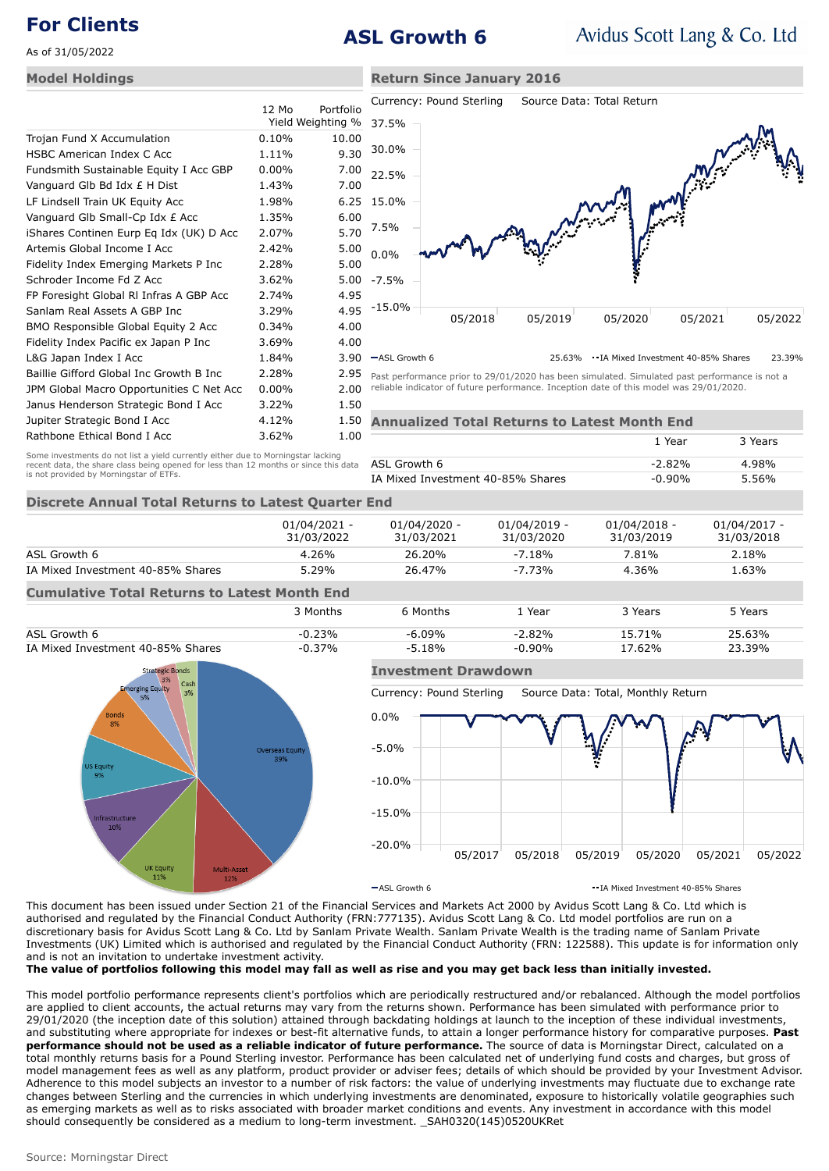# **For Clients ASL Growth 6**

**Return Since January 2016**

As of 31/05/2022

### **Model Holdings**

|                                          | $12 \text{ Mo}$ | Portfolio<br>Yield Weighting % |
|------------------------------------------|-----------------|--------------------------------|
| Trojan Fund X Accumulation               | 0.10%           | 10.00                          |
| HSBC American Index C Acc                | 1.11%           | 9.30                           |
| Fundsmith Sustainable Equity I Acc GBP   | $0.00\%$        | 7.00                           |
| Vanguard Glb Bd Idx £ H Dist             | 1.43%           | 7.00                           |
| LF Lindsell Train UK Equity Acc          | 1.98%           | 6.25                           |
| Vanguard Glb Small-Cp Idx £ Acc          | 1.35%           | 6.00                           |
| iShares Continen Eurp Eq Idx (UK) D Acc  | $2.07\%$        | 5.70                           |
| Artemis Global Income I Acc              | 2.42%           | 5.00                           |
| Fidelity Index Emerging Markets P Inc    | 2.28%           | 5.00                           |
| Schroder Income Fd Z Acc                 | 3.62%           | 5.00                           |
| FP Foresight Global RI Infras A GBP Acc  | 2.74%           | 4.95                           |
| Sanlam Real Assets A GBP Inc             | 3.29%           | 4.95                           |
| BMO Responsible Global Equity 2 Acc      | 0.34%           | 4.00                           |
| Fidelity Index Pacific ex Japan P Inc    | 3.69%           | 4.00                           |
| L&G Japan Index I Acc                    | 1.84%           | 3.90                           |
| Baillie Gifford Global Inc Growth B Inc  | 2.28%           | 2.95                           |
| JPM Global Macro Opportunities C Net Acc | $0.00\%$        | 2.00                           |
| Janus Henderson Strategic Bond I Acc     | $3.22\%$        | 1.50                           |
| Jupiter Strategic Bond I Acc             | 4.12%           | 1.50                           |
| Rathbone Ethical Bond I Acc              | 3.62%           | 1.00                           |



ASL Growth 6 25.63% IA Mixed Investment 40-85% Shares 23.39%

Past performance prior to 29/01/2020 has been simulated. Simulated past performance is not a reliable indicator of future performance. Inception date of this model was 29/01/2020.

| <b>Annualized Total Returns to Latest Month End</b> |           |         |  |  |
|-----------------------------------------------------|-----------|---------|--|--|
|                                                     | 1 Year    | 3 Years |  |  |
| ASL Growth 6                                        | $-2.82%$  | 4.98%   |  |  |
| IA Mixed Investment 40-85% Shares                   | $-0.90\%$ | 5.56%   |  |  |

## **Discrete Annual Total Returns to Latest Quarter End**

Some investments do not list a yield currently either due to Morningstar lacking recent data, the share class being opened for less than 12 months or since this data

is not provided by Morningstar of ETFs.

|                                                     | $01/04/2021 -$<br>31/03/2022 | $01/04/2020 -$<br>31/03/2021 | $01/04/2019 -$<br>31/03/2020 | $01/04/2018 -$<br>31/03/2019 | $01/04/2017 -$<br>31/03/2018 |  |  |
|-----------------------------------------------------|------------------------------|------------------------------|------------------------------|------------------------------|------------------------------|--|--|
| ASL Growth 6                                        | $4.26\%$                     | 26.20%                       | $-7.18%$                     | 7.81%                        | 2.18%                        |  |  |
| IA Mixed Investment 40-85% Shares                   | 5.29%                        | 26.47%                       | $-7.73%$                     | $4.36\%$                     | 1.63%                        |  |  |
| <b>Cumulative Total Returns to Latest Month End</b> |                              |                              |                              |                              |                              |  |  |
|                                                     |                              |                              |                              |                              |                              |  |  |





## **Investment Drawdown**

Currency: Pound Sterling Source Data: Total, Monthly Return



 $-$ ASL Growth 6 **IA Mixed Investment 40-85% Shares** 

This document has been issued under Section 21 of the Financial Services and Markets Act 2000 by Avidus Scott Lang & Co. Ltd which is authorised and regulated by the Financial Conduct Authority (FRN:777135). Avidus Scott Lang & Co. Ltd model portfolios are run on a discretionary basis for Avidus Scott Lang & Co. Ltd by Sanlam Private Wealth. Sanlam Private Wealth is the trading name of Sanlam Private Investments (UK) Limited which is authorised and regulated by the Financial Conduct Authority (FRN: 122588). This update is for information only and is not an invitation to undertake investment activity.

**The value of portfolios following this model may fall as well as rise and you may get back less than initially invested.**

This model portfolio performance represents client's portfolios which are periodically restructured and/or rebalanced. Although the model portfolios are applied to client accounts, the actual returns may vary from the returns shown. Performance has been simulated with performance prior to 29/01/2020 (the inception date of this solution) attained through backdating holdings at launch to the inception of these individual investments, and substituting where appropriate for indexes or best-fit alternative funds, to attain a longer performance history for comparative purposes. **Past performance should not be used as a reliable indicator of future performance.** The source of data is Morningstar Direct, calculated on a total monthly returns basis for a Pound Sterling investor. Performance has been calculated net of underlying fund costs and charges, but gross of model management fees as well as any platform, product provider or adviser fees; details of which should be provided by your Investment Advisor. Adherence to this model subjects an investor to a number of risk factors: the value of underlying investments may fluctuate due to exchange rate changes between Sterling and the currencies in which underlying investments are denominated, exposure to historically volatile geographies such as emerging markets as well as to risks associated with broader market conditions and events. Any investment in accordance with this model should consequently be considered as a medium to long-term investment. \_SAH0320(145)0520UKRet